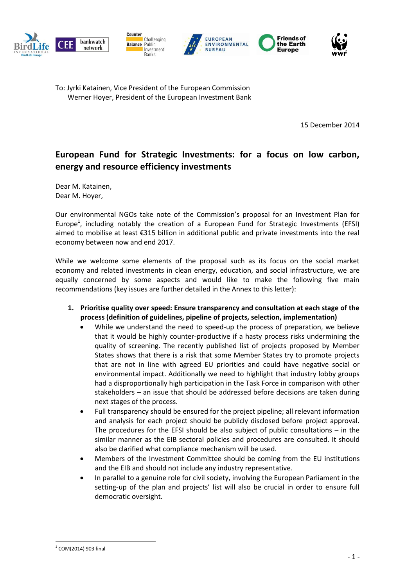

To: Jyrki Katainen, Vice President of the European Commission Werner Hoyer, President of the European Investment Bank

15 December 2014

### **European Fund for Strategic Investments: for a focus on low carbon, energy and resource efficiency investments**

Dear M. Katainen, Dear M. Hoyer,

Our environmental NGOs take note of the Commission's proposal for an Investment Plan for Europe<sup>1</sup>, including notably the creation of a European Fund for Strategic Investments (EFSI) aimed to mobilise at least €315 billion in additional public and private investments into the real economy between now and end 2017.

While we welcome some elements of the proposal such as its focus on the social market economy and related investments in clean energy, education, and social infrastructure, we are equally concerned by some aspects and would like to make the following five main recommendations (key issues are further detailed in the Annex to this letter):

- **1. Prioritise quality over speed: Ensure transparency and consultation at each stage of the process (definition of guidelines, pipeline of projects, selection, implementation)**
	- While we understand the need to speed-up the process of preparation, we believe that it would be highly counter-productive if a hasty process risks undermining the quality of screening. The recently published list of projects proposed by Member States shows that there is a risk that some Member States try to promote projects that are not in line with agreed EU priorities and could have negative social or environmental impact. Additionally we need to highlight that industry lobby groups had a disproportionally high participation in the Task Force in comparison with other stakeholders – an issue that should be addressed before decisions are taken during next stages of the process.
	- Full transparency should be ensured for the project pipeline; all relevant information and analysis for each project should be publicly disclosed before project approval. The procedures for the EFSI should be also subject of public consultations  $-$  in the similar manner as the EIB sectoral policies and procedures are consulted. It should also be clarified what compliance mechanism will be used.
	- Members of the Investment Committee should be coming from the EU institutions and the EIB and should not include any industry representative.
	- In parallel to a genuine role for civil society, involving the European Parliament in the setting-up of the plan and projects' list will also be crucial in order to ensure full democratic oversight.

 $^{1}$  COM(2014) 903 final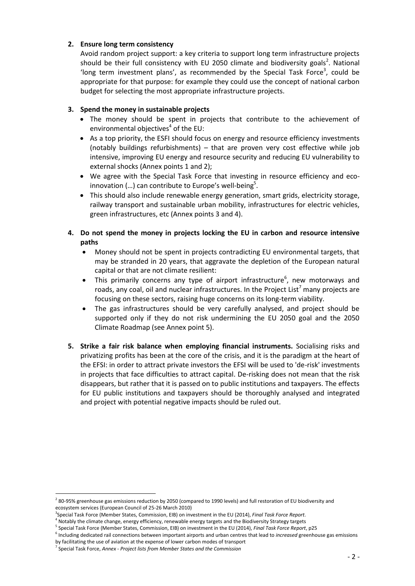#### **2. Ensure long term consistency**

Avoid random project support: a key criteria to support long term infrastructure projects should be their full consistency with EU 2050 climate and biodiversity goals<sup>2</sup>. National 'long term investment plans', as recommended by the Special Task Force<sup>3</sup>, could be appropriate for that purpose: for example they could use the concept of national carbon budget for selecting the most appropriate infrastructure projects.

#### **3. Spend the money in sustainable projects**

- The money should be spent in projects that contribute to the achievement of environmental objectives<sup>4</sup> of the EU:
- As a top priority, the ESFI should focus on energy and resource efficiency investments (notably buildings refurbishments) – that are proven very cost effective while job intensive, improving EU energy and resource security and reducing EU vulnerability to external shocks (Annex points 1 and 2);
- We agree with the Special Task Force that investing in resource efficiency and ecoinnovation (...) can contribute to Europe's well-being<sup>5</sup>.
- This should also include renewable energy generation, smart grids, electricity storage, railway transport and sustainable urban mobility, infrastructures for electric vehicles, green infrastructures, etc (Annex points 3 and 4).
- **4. Do not spend the money in projects locking the EU in carbon and resource intensive paths**
	- Money should not be spent in projects contradicting EU environmental targets, that may be stranded in 20 years, that aggravate the depletion of the European natural capital or that are not climate resilient:
	- $\bullet$  This primarily concerns any type of airport infrastructure<sup>6</sup>, new motorways and roads, any coal, oil and nuclear infrastructures. In the Project List<sup>7</sup> many projects are focusing on these sectors, raising huge concerns on its long-term viability.
	- The gas infrastructures should be very carefully analysed, and project should be supported only if they do not risk undermining the EU 2050 goal and the 2050 Climate Roadmap (see Annex point 5).
- **5. Strike a fair risk balance when employing financial instruments.** Socialising risks and privatizing profits has been at the core of the crisis, and it is the paradigm at the heart of the EFSI: in order to attract private investors the EFSI will be used to 'de-risk' investments in projects that face difficulties to attract capital. De-risking does not mean that the risk disappears, but rather that it is passed on to public institutions and taxpayers. The effects for EU public institutions and taxpayers should be thoroughly analysed and integrated and project with potential negative impacts should be ruled out.

<sup>&</sup>lt;sup>2</sup> 80-95% greenhouse gas emissions reduction by 2050 (compared to 1990 levels) and full restoration of EU biodiversity and ecosystem services (European Council of 25-26 March 2010)

<sup>3</sup> Special Task Force (Member States, Commission, EIB) on investment in the EU (2014), *Final Task Force Report*.

<sup>&</sup>lt;sup>4</sup> Notably the climate change, energy efficiency, renewable energy targets and the Biodiversity Strategy targets

<sup>5</sup> Special Task Force (Member States, Commission, EIB) on investment in the EU (2014), *Final Task Force Report*, p25

<sup>6</sup> Including dedicated rail connections between important airports and urban centres that lead to *increased* greenhouse gas emissions by facilitating the use of aviation at the expense of lower carbon modes of transport

<sup>7</sup> Special Task Force, *Annex - Project lists from Member States and the Commission*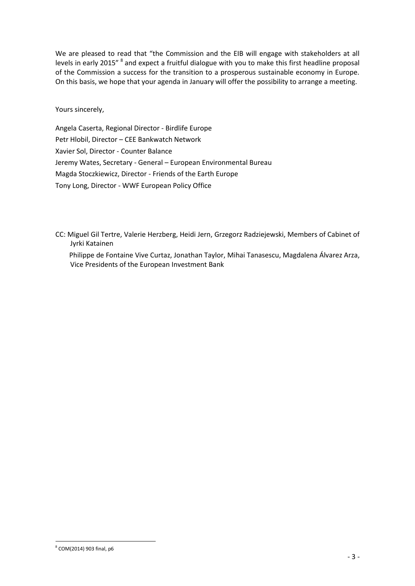We are pleased to read that "the Commission and the EIB will engage with stakeholders at all levels in early 2015" <sup>8</sup> and expect a fruitful dialogue with you to make this first headline proposal of the Commission a success for the transition to a prosperous sustainable economy in Europe. On this basis, we hope that your agenda in January will offer the possibility to arrange a meeting.

Yours sincerely,

Angela Caserta, Regional Director - Birdlife Europe Petr Hlobil, Director – CEE Bankwatch Network Xavier Sol, Director - Counter Balance Jeremy Wates, Secretary - General – European Environmental Bureau Magda Stoczkiewicz, Director - Friends of the Earth Europe Tony Long, Director - WWF European Policy Office

- CC: Miguel Gil Tertre, Valerie Herzberg, Heidi Jern, Grzegorz Radziejewski, Members of Cabinet of Jyrki Katainen
	- Philippe de Fontaine Vive Curtaz, Jonathan Taylor, Mihai Tanasescu, Magdalena Álvarez Arza, Vice Presidents of the European Investment Bank

<sup>1</sup> 8 COM(2014) 903 final, p6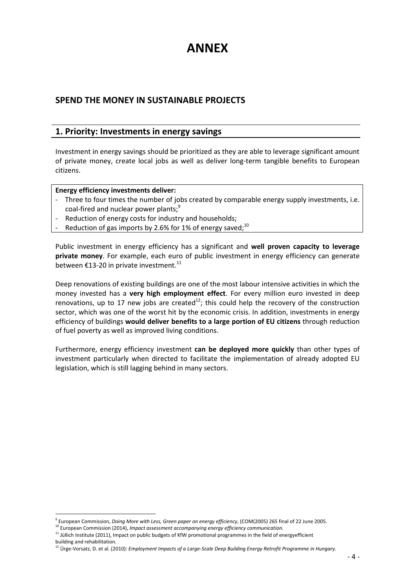# **ANNEX**

### **SPEND THE MONEY IN SUSTAINABLE PROJECTS**

### **1. Priority: Investments in energy savings**

Investment in energy savings should be prioritized as they are able to leverage significant amount of private money, create local jobs as well as deliver long-term tangible benefits to European citizens.

#### **Energy efficiency investments deliver:**

- Three to four times the number of jobs created by comparable energy supply investments, i.e. coal-fired and nuclear power plants;<sup>9</sup>
- Reduction of energy costs for industry and households;
- Reduction of gas imports by 2.6% for 1% of energy saved;<sup>10</sup>

Public investment in energy efficiency has a significant and **well proven capacity to leverage private money**. For example, each euro of public investment in energy efficiency can generate between  $£13-20$  in private investment.<sup>11</sup>

Deep renovations of existing buildings are one of the most labour intensive activities in which the money invested has a **very high employment effect**. For every million euro invested in deep renovations, up to 17 new jobs are created $^{12}$ ; this could help the recovery of the construction sector, which was one of the worst hit by the economic crisis. In addition, investments in energy efficiency of buildings **would deliver benefits to a large portion of EU citizens** through reduction of fuel poverty as well as improved living conditions.

Furthermore, energy efficiency investment **can be deployed more quickly** than other types of investment particularly when directed to facilitate the implementation of already adopted EU legislation, which is still lagging behind in many sectors.

<sup>1</sup> 9 European Commission, *Doing More with Less, Green paper on energy efficiency*, (COM(2005) 265 final of 22 June 2005.

<sup>&</sup>lt;sup>10</sup> European Commission (2014), *Impact assessment accompanying energy efficiency communication.* 

<sup>&</sup>lt;sup>11</sup> Jüllich Institute (2011), Impact on public budgets of KfW promotional programmes in the field of energyefficient building and rehabilitation.

<sup>12</sup> Ürge-Vorsatz, D. et al. (2010): *Employment Impacts of a Large-Scale Deep Building Energy Retrofit Programme in Hungary.*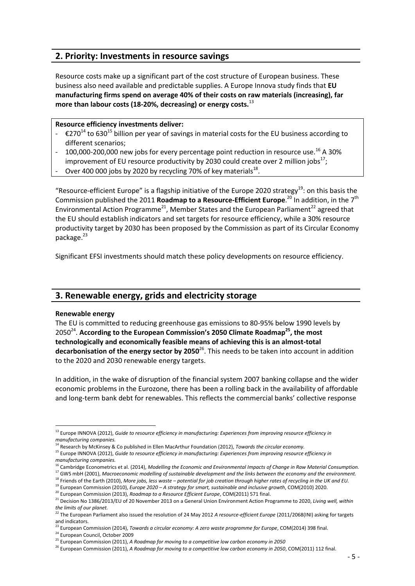### **2. Priority: Investments in resource savings**

Resource costs make up a significant part of the cost structure of European business. These business also need available and predictable supplies. A Europe Innova study finds that **EU manufacturing firms spend on average 40% of their costs on raw materials (increasing), far more than labour costs (18-20%, decreasing) or energy costs.**<sup>13</sup>

### **Resource efficiency investments deliver:**

- $\epsilon$ 270<sup>14</sup> to 630<sup>15</sup> billion per year of savings in material costs for the EU business according to different scenarios;
- 100,000-200,000 new jobs for every percentage point reduction in resource use.<sup>16</sup> A 30% improvement of EU resource productivity by 2030 could create over 2 million jobs<sup>17</sup>;
- Over 400 000 jobs by 2020 by recycling 70% of key materials $^{18}$ .

"Resource-efficient Europe" is a flagship initiative of the Europe 2020 strategy<sup>19</sup>: on this basis the Commission published the 2011 **Roadmap to a Resource-Efficient Europe**.<sup>20</sup> In addition, in the 7<sup>th</sup> Environmental Action Programme<sup>21</sup>, Member States and the European Parliament<sup>22</sup> agreed that the EU should establish indicators and set targets for resource efficiency, while a 30% resource productivity target by 2030 has been proposed by the Commission as part of its Circular Economy package.<sup>23</sup>

Significant EFSI investments should match these policy developments on resource efficiency.

### **3. Renewable energy, grids and electricity storage**

#### **Renewable energy**

<u>.</u>

The EU is committed to reducing greenhouse gas emissions to 80-95% below 1990 levels by 2050<sup>24</sup> . **According to the European Commission's 2050 Climate Roadmap<sup>25</sup>, the most technologically and economically feasible means of achieving this is an almost-total**  decarbonisation of the energy sector by 2050<sup>26</sup>. This needs to be taken into account in addition to the 2020 and 2030 renewable energy targets.

In addition, in the wake of disruption of the financial system 2007 banking collapse and the wider economic problems in the Eurozone, there has been a rolling back in the availability of affordable and long‐term bank debt for renewables. This reflects the commercial banks' collective response

<sup>13</sup> Europe INNOVA (2012), *Guide to resource efficiency in manufacturing: Experiences from improving resource efficiency in manufacturing companies.*

<sup>14</sup> Research by McKinsey & Co published in Ellen MacArthur Foundation (2012), *Towards the circular economy.*

<sup>&</sup>lt;sup>15</sup> Europe INNOVA (2012), *Guide to resource efficiency in manufacturing: Experiences from improving resource efficiency in manufacturing companies.*

<sup>16</sup> Cambridge Econometrics et al. (2014), *Modelling the Economic and Environmental Impacts of Change in Raw Material Consumption.*

<sup>17</sup> GWS mbH (2001), *Macroeconomic modelling of sustainable development and the links between the economy and the environment.* <sup>18</sup> Friends of the Earth (2010), *More jobs, less waste – potential for job creation through higher rates of recycling in the UK and EU.*

<sup>19</sup> European Commission (2010), *Europe 2020 – A strategy for smart, sustainable and inclusive growth*, COM(2010) 2020.

<sup>20</sup> European Commission (2013), *Roadmap to a Resource Efficient Europe*, COM(2011) 571 final.

<sup>21</sup> Decision No 1386/2013/EU of 20 November 2013 on a General Union Environment Action Programme to 2020, *Living well, within the limits of our planet.*

<sup>22</sup> The European Parliament also issued the resolution of 24 May 2012 *A resource-efficient Europe* (2011/2068(INI) asking for targets and indicators.

<sup>23</sup> European Commission (2014), *Towards a circular economy: A zero waste programme for Europe*, COM(2014) 398 final.

<sup>24</sup> European Council, October 2009

<sup>25</sup> European Commission (2011), *A Roadmap for moving to a competitive low carbon economy in 2050*

<sup>&</sup>lt;sup>26</sup> European Commission (2011), *A Roadmap for moving to a competitive low carbon economy in 2050*, COM(2011) 112 final.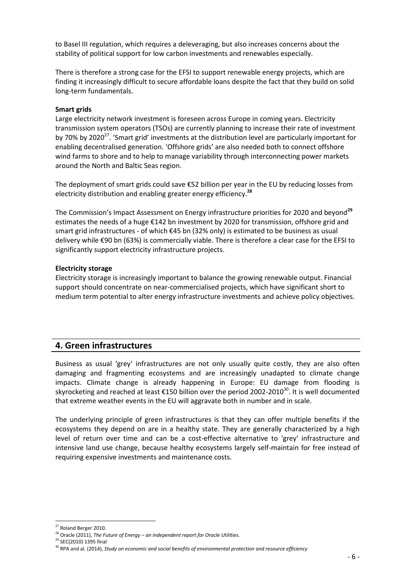to Basel III regulation, which requires a deleveraging, but also increases concerns about the stability of political support for low carbon investments and renewables especially.

There is therefore a strong case for the EFSI to support renewable energy projects, which are finding it increasingly difficult to secure affordable loans despite the fact that they build on solid long-term fundamentals.

#### **Smart grids**

Large electricity network investment is foreseen across Europe in coming years. Electricity transmission system operators (TSOs) are currently planning to increase their rate of investment by 70% by 2020<sup>27</sup>. 'Smart grid' investments at the distribution level are particularly important for enabling decentralised generation. 'Offshore grids' are also needed both to connect offshore wind farms to shore and to help to manage variability through interconnecting power markets around the North and Baltic Seas region.

The deployment of smart grids could save €52 billion per year in the EU by reducing losses from electricity distribution and enabling greater energy efficiency.**<sup>28</sup>**

The Commission's Impact Assessment on Energy infrastructure priorities for 2020 and beyond<sup>29</sup> estimates the needs of a huge €142 bn investment by 2020 for transmission, offshore grid and smart grid infrastructures - of which €45 bn (32% only) is estimated to be business as usual delivery while €90 bn (63%) is commercially viable. There is therefore a clear case for the EFSI to significantly support electricity infrastructure projects.

#### **Electricity storage**

Electricity storage is increasingly important to balance the growing renewable output. Financial support should concentrate on near-commercialised projects, which have significant short to medium term potential to alter energy infrastructure investments and achieve policy objectives.

### **4. Green infrastructures**

Business as usual 'grey' infrastructures are not only usually quite costly, they are also often damaging and fragmenting ecosystems and are increasingly unadapted to climate change impacts. Climate change is already happening in Europe: EU damage from flooding is skyrocketing and reached at least  $\epsilon$ 150 billion over the period 2002-2010<sup>30</sup>. It is well documented that extreme weather events in the EU will aggravate both in number and in scale.

The underlying principle of green infrastructures is that they can offer multiple benefits if the ecosystems they depend on are in a healthy state. They are generally characterized by a high level of return over time and can be a cost-effective alternative to 'grey' infrastructure and intensive land use change, because healthy ecosystems largely self-maintain for free instead of requiring expensive investments and maintenance costs.

 $27$  Roland Berger 2010.

<sup>28</sup> Oracle (2011), *The Future of Energy – an independent report for Oracle Utilities.*

<sup>&</sup>lt;sup>29</sup> SEC(2010) 1395 final

<sup>&</sup>lt;sup>30</sup> RPA and al. (2014), *Study on economic and social benefits of environmental protection and resource efficiency*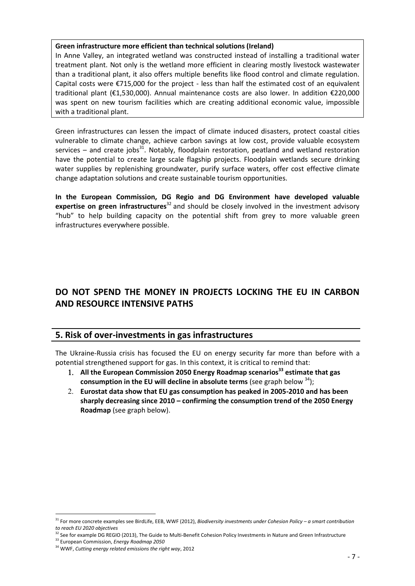#### **Green infrastructure more efficient than technical solutions (Ireland)**

In Anne Valley, an integrated wetland was constructed instead of installing a traditional water treatment plant. Not only is the wetland more efficient in clearing mostly livestock wastewater than a traditional plant, it also offers multiple benefits like flood control and climate regulation. Capital costs were  $\epsilon$ 715,000 for the project - less than half the estimated cost of an equivalent traditional plant (€1,530,000). Annual maintenance costs are also lower. In addition €220,000 was spent on new tourism facilities which are creating additional economic value, impossible with a traditional plant.

Green infrastructures can lessen the impact of climate induced disasters, protect coastal cities vulnerable to climate change, achieve carbon savings at low cost, provide valuable ecosystem services – and create jobs<sup>31</sup>. Notably, floodplain restoration, peatland and wetland restoration have the potential to create large scale flagship projects. Floodplain wetlands secure drinking water supplies by replenishing groundwater, purify surface waters, offer cost effective climate change adaptation solutions and create sustainable tourism opportunities.

**In the European Commission, DG Regio and DG Environment have developed valuable**  expertise on green infrastructures<sup>32</sup> and should be closely involved in the investment advisory "hub" to help building capacity on the potential shift from grey to more valuable green infrastructures everywhere possible.

## **DO NOT SPEND THE MONEY IN PROJECTS LOCKING THE EU IN CARBON AND RESOURCE INTENSIVE PATHS**

### **5. Risk of over-investments in gas infrastructures**

The Ukraine-Russia crisis has focused the EU on energy security far more than before with a potential strengthened support for gas. In this context, it is critical to remind that:

- **All the European Commission 2050 Energy Roadmap scenarios<sup>33</sup> estimate that gas consumption in the EU will decline in absolute terms** (see graph below <sup>34</sup>);
- **Eurostat data show that EU gas consumption has peaked in 2005-2010 and has been sharply decreasing since 2010 – confirming the consumption trend of the 2050 Energy Roadmap** (see graph below).

<sup>31</sup> For more concrete examples see BirdLife, EEB, WWF (2012), *Biodiversity investments under Cohesion Policy – a smart contribution to reach EU 2020 objectives*

 $32$  See for example DG REGIO (2013), The Guide to Multi-Benefit Cohesion Policy Investments in Nature and Green Infrastructure

<sup>33</sup> European Commission, *Energy Roadmap 2050*

<sup>34</sup> WWF, *Cutting energy related emissions the right way*, 2012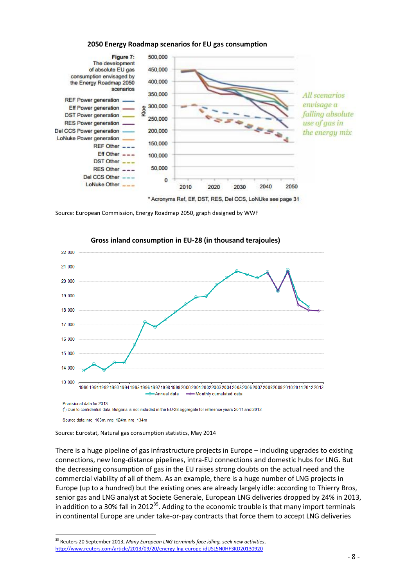

#### **2050 Energy Roadmap scenarios for EU gas consumption**

Source: European Commission, Energy Roadmap 2050, graph designed by WWF



#### **Gross inland consumption in EU-28 (in thousand terajoules)**

Source data: nrg\_103m, nrg\_124m, nrg\_134m

<u>.</u>

Source: Eurostat, Natural gas consumption statistics, May 2014

There is a huge pipeline of gas infrastructure projects in Europe – including upgrades to existing connections, new long-distance pipelines, intra-EU connections and domestic hubs for LNG. But the decreasing consumption of gas in the EU raises strong doubts on the actual need and the commercial viability of all of them. As an example, there is a huge number of LNG projects in Europe (up to a hundred) but the existing ones are already largely idle: according to Thierry Bros, senior gas and LNG analyst at Societe Generale, European LNG deliveries dropped by 24% in 2013, in addition to a 30% fall in 2012<sup>35</sup>. Adding to the economic trouble is that many import terminals in continental Europe are under take-or-pay contracts that force them to accept LNG deliveries

<sup>35</sup> Reuters 20 September 2013, *Many European LNG terminals face idling, seek new activities*, <http://www.reuters.com/article/2013/09/20/energy-lng-europe-idUSL5N0HF3KD20130920>